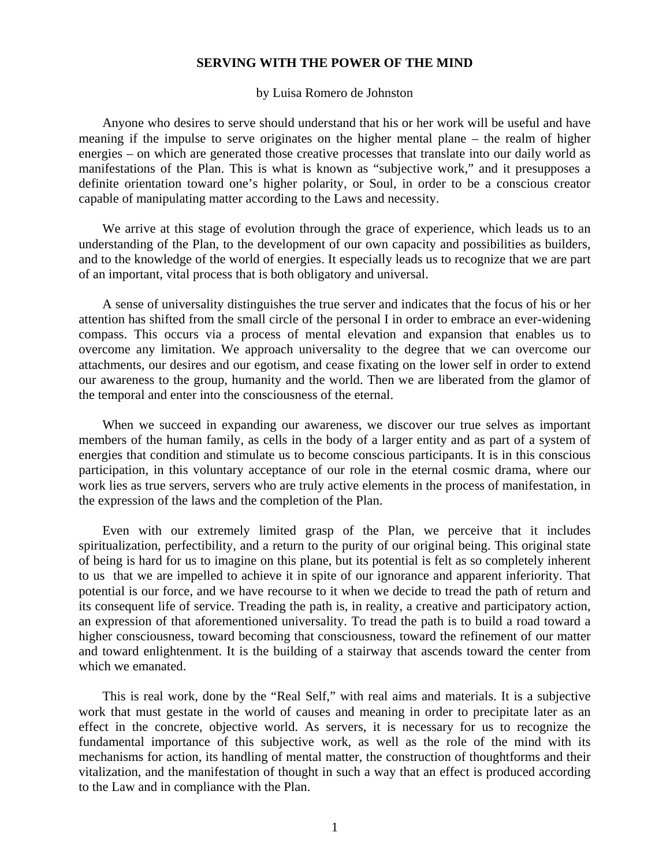## **SERVING WITH THE POWER OF THE MIND**

## by Luisa Romero de Johnston

 Anyone who desires to serve should understand that his or her work will be useful and have meaning if the impulse to serve originates on the higher mental plane – the realm of higher energies – on which are generated those creative processes that translate into our daily world as manifestations of the Plan. This is what is known as "subjective work," and it presupposes a definite orientation toward one's higher polarity, or Soul, in order to be a conscious creator capable of manipulating matter according to the Laws and necessity.

 We arrive at this stage of evolution through the grace of experience, which leads us to an understanding of the Plan, to the development of our own capacity and possibilities as builders, and to the knowledge of the world of energies. It especially leads us to recognize that we are part of an important, vital process that is both obligatory and universal.

 A sense of universality distinguishes the true server and indicates that the focus of his or her attention has shifted from the small circle of the personal I in order to embrace an ever-widening compass. This occurs via a process of mental elevation and expansion that enables us to overcome any limitation. We approach universality to the degree that we can overcome our attachments, our desires and our egotism, and cease fixating on the lower self in order to extend our awareness to the group, humanity and the world. Then we are liberated from the glamor of the temporal and enter into the consciousness of the eternal.

 When we succeed in expanding our awareness, we discover our true selves as important members of the human family, as cells in the body of a larger entity and as part of a system of energies that condition and stimulate us to become conscious participants. It is in this conscious participation, in this voluntary acceptance of our role in the eternal cosmic drama, where our work lies as true servers, servers who are truly active elements in the process of manifestation, in the expression of the laws and the completion of the Plan.

 Even with our extremely limited grasp of the Plan, we perceive that it includes spiritualization, perfectibility, and a return to the purity of our original being. This original state of being is hard for us to imagine on this plane, but its potential is felt as so completely inherent to us that we are impelled to achieve it in spite of our ignorance and apparent inferiority. That potential is our force, and we have recourse to it when we decide to tread the path of return and its consequent life of service. Treading the path is, in reality, a creative and participatory action, an expression of that aforementioned universality. To tread the path is to build a road toward a higher consciousness, toward becoming that consciousness, toward the refinement of our matter and toward enlightenment. It is the building of a stairway that ascends toward the center from which we emanated.

 This is real work, done by the "Real Self," with real aims and materials. It is a subjective work that must gestate in the world of causes and meaning in order to precipitate later as an effect in the concrete, objective world. As servers, it is necessary for us to recognize the fundamental importance of this subjective work, as well as the role of the mind with its mechanisms for action, its handling of mental matter, the construction of thoughtforms and their vitalization, and the manifestation of thought in such a way that an effect is produced according to the Law and in compliance with the Plan.